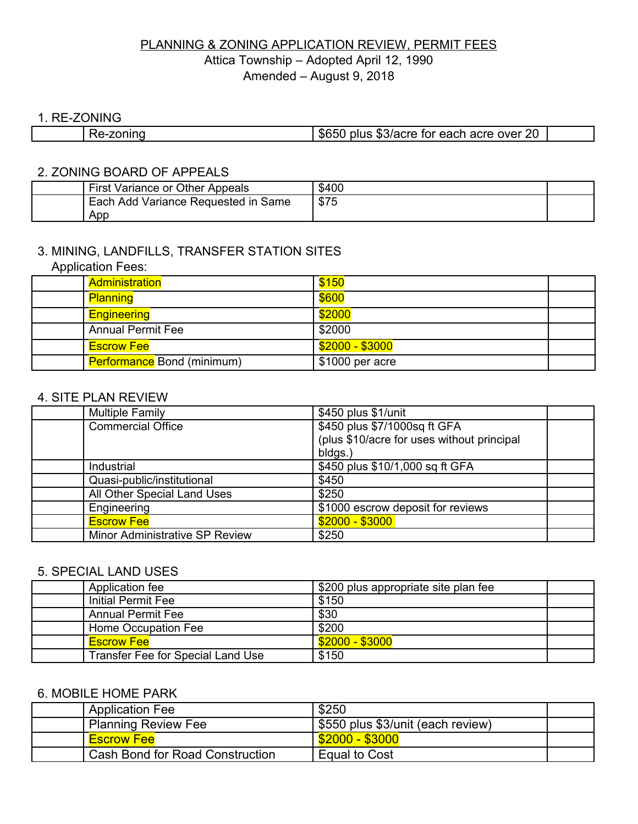# PLANNING & ZONING APPLICATION REVIEW, PERMIT FEES Attica Township – Adopted April 12, 1990 Amended – August 9, 2018

#### 1. RE-ZONING

Г

| \$65C<br>$\overline{\phantom{a}}$ | הר<br>. ጦ<br>$ -$<br>n acre<br>----<br>over<br>tor<br>nius<br>eacr<br>. കാ/acie<br>_v |
|-----------------------------------|---------------------------------------------------------------------------------------|
|-----------------------------------|---------------------------------------------------------------------------------------|

# 2. ZONING BOARD OF APPEALS

| First<br>Variance or Other Appeals            | \$400 |  |
|-----------------------------------------------|-------|--|
| <b>Add Variance Requested in Same</b><br>Each | \$75  |  |
| App                                           |       |  |

# 3. MINING, LANDFILLS, TRANSFER STATION SITES

| <b>Application Fees:</b> |  |  |  |  |
|--------------------------|--|--|--|--|
|                          |  |  |  |  |

| Administration                    | \$150           |  |
|-----------------------------------|-----------------|--|
| <b>Planning</b>                   | \$600           |  |
| <b>Engineering</b>                | \$2000          |  |
| <b>Annual Permit Fee</b>          | \$2000          |  |
| <b>Escrow Fee</b>                 | \$2000 - \$3000 |  |
| <b>Performance Bond (minimum)</b> | \$1000 per acre |  |

### 4. SITE PLAN REVIEW

| <b>Multiple Family</b>                | \$450 plus \$1/unit                        |  |
|---------------------------------------|--------------------------------------------|--|
| <b>Commercial Office</b>              | \$450 plus \$7/1000sq ft GFA               |  |
|                                       | (plus \$10/acre for uses without principal |  |
|                                       | bldgs.                                     |  |
| Industrial                            | \$450 plus \$10/1,000 sq ft GFA            |  |
| Quasi-public/institutional            | \$450                                      |  |
| All Other Special Land Uses           | \$250                                      |  |
| Engineering                           | \$1000 escrow deposit for reviews          |  |
| <b>Escrow Fee</b>                     | $$2000 - $3000$                            |  |
| <b>Minor Administrative SP Review</b> | \$250                                      |  |

### 5. SPECIAL LAND USES

| Application fee                          | \$200 plus appropriate site plan fee |  |
|------------------------------------------|--------------------------------------|--|
| Initial Permit Fee                       | \$150                                |  |
| <b>Annual Permit Fee</b>                 | \$30                                 |  |
| Home Occupation Fee                      | \$200                                |  |
| <b>Escrow Fee</b>                        | \$2000 - \$3000                      |  |
| <b>Transfer Fee for Special Land Use</b> | \$150                                |  |

# 6. MOBILE HOME PARK

| <b>Application Fee</b>                 | \$250                             |  |
|----------------------------------------|-----------------------------------|--|
| <b>Planning Review Fee</b>             | \$550 plus \$3/unit (each review) |  |
| <b>Escrow Fee</b>                      | $\frac{$2000 - $3000}{$           |  |
| <b>Cash Bond for Road Construction</b> | <b>Equal to Cost</b>              |  |